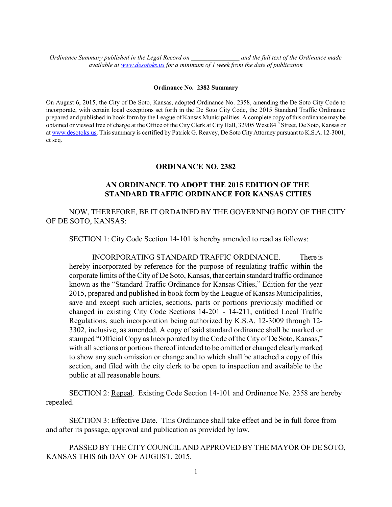*Ordinance Summary published in the Legal Record on \_\_\_\_\_\_\_\_\_\_\_\_\_\_\_ and the full text of the Ordinance made available at [www.desotoks.us](http://www.desotoks.us/) for a minimum of 1 week from the date of publication*

## **Ordinance No. 2382 Summary**

On August 6, 2015, the City of De Soto, Kansas, adopted Ordinance No. 2358, amending the De Soto City Code to incorporate, with certain local exceptions set forth in the De Soto City Code, the 2015 Standard Traffic Ordinance prepared and published in book form by the League of Kansas Municipalities. A complete copy of this ordinance may be obtained or viewed free of charge at the Office of the City Clerk at City Hall, 32905 West 84<sup>th</sup> Street, De Soto, Kansas or a[t www.desotoks.us.](http://www.desotoks.us/) This summary is certified by Patrick G. Reavey, De Soto City Attorney pursuant to K.S.A. 12-3001, et seq.

## **ORDINANCE NO. 2382**

## **AN ORDINANCE TO ADOPT THE 2015 EDITION OF THE STANDARD TRAFFIC ORDINANCE FOR KANSAS CITIES**

NOW, THEREFORE, BE IT ORDAINED BY THE GOVERNING BODY OF THE CITY OF DE SOTO, KANSAS:

SECTION 1: City Code Section 14-101 is hereby amended to read as follows:

INCORPORATING STANDARD TRAFFIC ORDINANCE. There is hereby incorporated by reference for the purpose of regulating traffic within the corporate limits of the City of De Soto, Kansas, that certain standard traffic ordinance known as the "Standard Traffic Ordinance for Kansas Cities," Edition for the year 2015, prepared and published in book form by the League of Kansas Municipalities, save and except such articles, sections, parts or portions previously modified or changed in existing City Code Sections 14-201 - 14-211, entitled Local Traffic Regulations, such incorporation being authorized by K.S.A. 12-3009 through 12- 3302, inclusive, as amended. A copy of said standard ordinance shall be marked or stamped "Official Copy as Incorporated by the Code of the City of De Soto, Kansas," with all sections or portions thereof intended to be omitted or changed clearly marked to show any such omission or change and to which shall be attached a copy of this section, and filed with the city clerk to be open to inspection and available to the public at all reasonable hours.

SECTION 2: Repeal. Existing Code Section 14-101 and Ordinance No. 2358 are hereby repealed.

SECTION 3: Effective Date. This Ordinance shall take effect and be in full force from and after its passage, approval and publication as provided by law.

PASSED BY THE CITY COUNCIL AND APPROVED BY THE MAYOR OF DE SOTO, KANSAS THIS 6th DAY OF AUGUST, 2015.